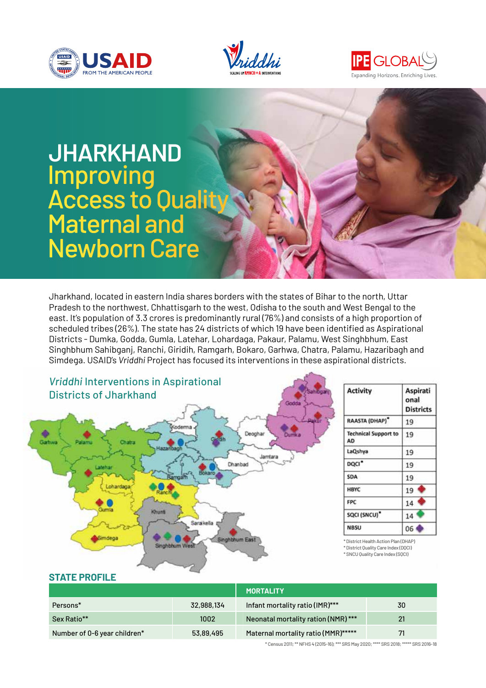





# **Jharkhand**  Improving **Access to Quality** Maternal and Newborn Care

Jharkhand, located in eastern India shares borders with the states of Bihar to the north, Uttar Pradesh to the northwest, Chhattisgarh to the west, Odisha to the south and West Bengal to the east. It's population of 3.3 crores is predominantly rural (76%) and consists of a high proportion of scheduled tribes (26%). The state has 24 districts of which 19 have been identified as Aspirational Districts - Dumka, Godda, Gumla, Latehar, Lohardaga, Pakaur, Palamu, West Singhbhum, East Singhbhum Sahibganj, Ranchi, Giridih, Ramgarh, Bokaro, Garhwa, Chatra, Palamu, Hazaribagh and Simdega. USAID's *Vriddhi* Project has focused its interventions in these aspirational districts.



#### **STATE PROFILE**

|                              |            | <b>MORTALITY</b>                    |    |
|------------------------------|------------|-------------------------------------|----|
| Persons*                     | 32,988,134 | Infant mortality ratio (IMR)***     | 30 |
| Sex Ratio**                  | 1002       | Neonatal mortality ration (NMR)***  | 21 |
| Number of 0-6 year children* | 53,89,495  | Maternal mortality ratio (MMR)***** | 71 |

\* Census 2011; \*\* NFHS 4 (2015-16); \*\*\* SRS May 2020; \*\*\*\* SRS 2018; \*\*\*\*\* SRS 2016-18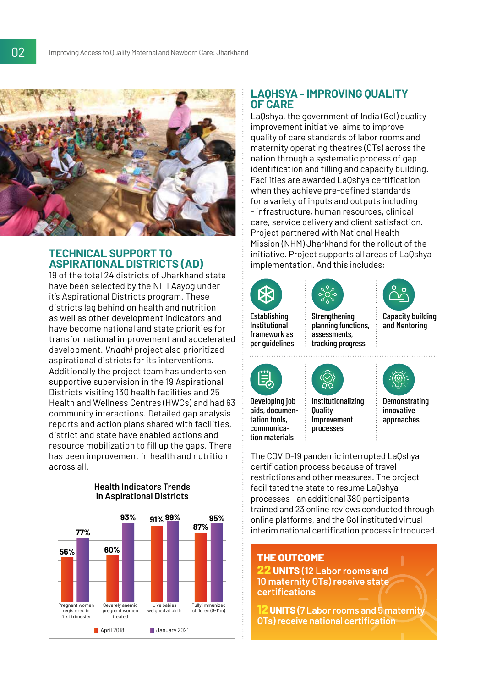

### **Technical Support To Aspirational Districts (AD)**

19 of the total 24 districts of Jharkhand state have been selected by the NITI Aayog under it's Aspirational Districts program. These districts lag behind on health and nutrition as well as other development indicators and have become national and state priorities for transformational improvement and accelerated development. *Vriddhi* project also prioritized aspirational districts for its interventions. Additionally the project team has undertaken supportive supervision in the 19 Aspirational Districts visiting 130 health facilities and 25 Health and Wellness Centres (HWCs) and had 63 community interactions. Detailed gap analysis reports and action plans shared with facilities, district and state have enabled actions and resource mobilization to fill up the gaps. There has been improvement in health and nutrition across all.



### **LaQhsya - Improving Quality of Care**

LaQshya, the government of India (GoI) quality improvement initiative, aims to improve quality of care standards of labor rooms and maternity operating theatres (OTs) across the nation through a systematic process of gap identification and filling and capacity building. Facilities are awarded LaQshya certification when they achieve pre-defined standards for a variety of inputs and outputs including - infrastructure, human resources, clinical care, service delivery and client satisfaction. Project partnered with National Health Mission (NHM) Jharkhand for the rollout of the initiative. Project supports all areas of LaQshya implementation. And this includes:



framework as

Establishing Institutional



**Strengthening** planning functions, assessments, tracking progress



Capacity building and Mentoring

per guidelines



Developing job aids, documentation tools, communication materials

Institutionalizing **Quality** Improvement processes



**Demonstrating** innovative approaches

The COVID-19 pandemic interrupted LaQshya certification process because of travel restrictions and other measures. The project facilitated the state to resume LaQshya processes - an additional 380 participants trained and 23 online reviews conducted through online platforms, and the GoI instituted virtual interim national certification process introduced.

### The Outcome

**22 Units (12 Labor rooms and 10 maternity OTs) receive state certifications**

**12Units (7 Labor rooms and 5 maternity OTs) receive national certification**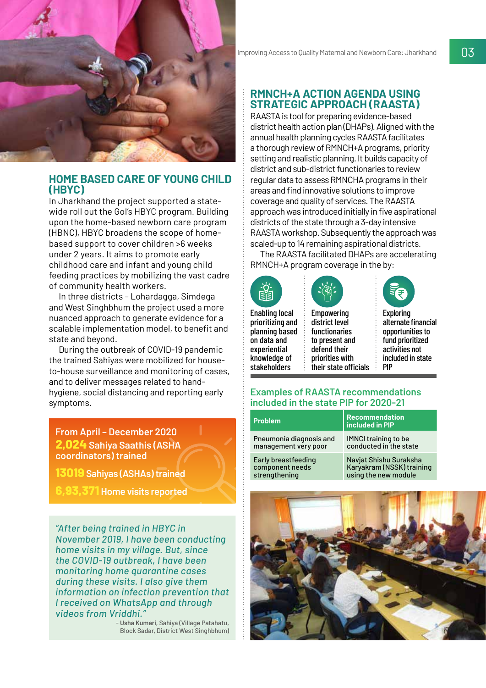

### **Home Based Care of Young Child (HBYC)**

In Jharkhand the project supported a statewide roll out the Gol's HBYC program. Building upon the home-based newborn care program (HBNC), HBYC broadens the scope of homebased support to cover children >6 weeks under 2 years. It aims to promote early childhood care and infant and young child feeding practices by mobilizing the vast cadre of community health workers.

In three districts – Lohardagga, Simdega and West Singhbhum the project used a more nuanced approach to generate evidence for a scalable implementation model, to benefit and state and beyond.

During the outbreak of COVID-19 pandemic the trained Sahiyas were mobilized for houseto-house surveillance and monitoring of cases, and to deliver messages related to handhygiene, social distancing and reporting early symptoms.

**From April – December 2020 2,024 Sahiya Saathis (ASHA coordinators) trained**

**13019 Sahiyas (ASHAs) trained**

**6,93,371 Home visits reported**

*"After being trained in HBYC in November 2019, I have been conducting home visits in my village. But, since the COVID-19 outbreak, I have been monitoring home quarantine cases during these visits. I also give them information on infection prevention that I received on WhatsApp and through videos from Vriddhi."*

- **Usha Kumari,** Sahiya (Village Patahatu, Block Sadar, District West Singhbhum)

### **RMNCH+A Action Agenda Using Strategic Approach (RAASTA)**

RAASTA is tool for preparing evidence-based district health action plan (DHAPs). Aligned with the annual health planning cycles RAASTA facilitates a thorough review of RMNCH+A programs, priority setting and realistic planning. It builds capacity of district and sub-district functionaries to review regular data to assess RMNCHA programs in their areas and find innovative solutions to improve coverage and quality of services. The RAASTA approach was introduced initially in five aspirational districts of the state through a 3-day intensive RAASTA workshop. Subsequently the approach was scaled-up to 14 remaining aspirational districts.

The RAASTA facilitated DHAPs are accelerating RMNCH+A program coverage in the by:



Enabling local prioritizing and planning based on data and experiential knowledge of stakeholders

Empowering district level functionaries to present and defend their priorities with their state officials



÷

Exploring alternate financial opportunities to fund prioritized activities not included in state PIP

### **Examples of RAASTA recommendations included in the state PIP for 2020-21**

| <b>Problem</b>          | <b>Recommendation</b><br>included in PIP |
|-------------------------|------------------------------------------|
| Pneumonia diagnosis and | <b>IMNCI training to be</b>              |
| management very poor    | conducted in the state                   |
| Early breastfeeding     | Navjat Shishu Suraksha                   |
| component needs         | Karyakram (NSSK) training                |
| strengthening           | using the new module                     |
|                         |                                          |

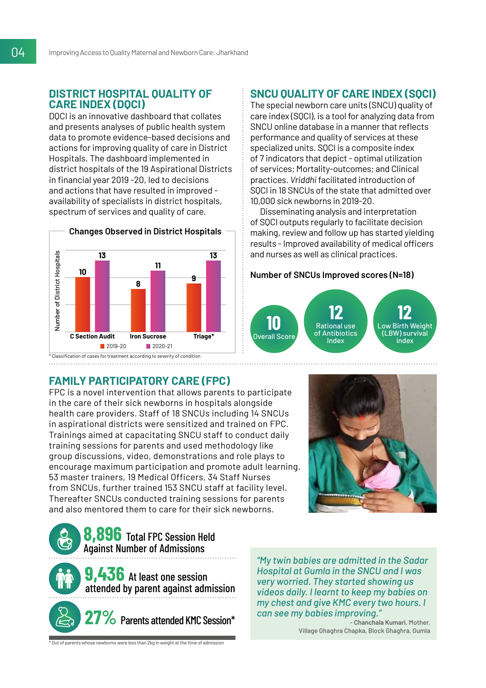### **District Hospital Quality of Care Index (DQCI)**

DQCI is an innovative dashboard that collates and presents analyses of public health system data to promote evidence-based decisions and actions for improving quality of care in District Hospitals. The dashboard implemented in district hospitals of the 19 Aspirational Districts in financial year 2019 -20, led to decisions and actions that have resulted in improved availability of specialists in district hospitals, spectrum of services and quality of care.



### **SNCU Quality of Care Index (SQCI)**

The special newborn care units (SNCU) quality of care index (SQCI), is a tool for analyzing data from SNCU online database in a manner that reflects performance and quality of services at these specialized units. SQCI is a composite index of 7 indicators that depict - optimal utilization of services; Mortality-outcomes; and Clinical practices. *Vriddhi* facilitated introduction of SQCI in 18 SNCUs of the state that admitted over 10,000 sick newborns in 2019-20.

Disseminating analysis and interpretation of SQCI outputs regularly to facilitate decision making, review and follow up has started yielding results - Improved availability of medical officers and nurses as well as clinical practices.

#### **Number of SNCUs Improved scores (N=18)**



### **Family Participatory Care (FPC)**

FPC is a novel intervention that allows parents to participate in the care of their sick newborns in hospitals alongside health care providers. Staff of 18 SNCUs including 14 SNCUs in aspirational districts were sensitized and trained on FPC. Trainings aimed at capacitating SNCU staff to conduct daily training sessions for parents and used methodology like group discussions, video, demonstrations and role plays to encourage maximum participation and promote adult learning. 53 master trainers, 19 Medical Officers, 34 Staff Nurses from SNCUs, further trained 153 SNCU staff at facility level. Thereafter SNCUs conducted training sessions for parents and also mentored them to care for their sick newborns.





*"My twin babies are admitted in the Sadar Hospital at Gumla in the SNCU and I was very worried. They started showing us videos daily. I learnt to keep my babies on my chest and give KMC every two hours. I can see my babies improving."*

> - **Chanchala Kumari**, Mother, Village Ghaghra Chapka, Block Ghaghra, Gumla

 $*$  Out of parents whose newborns were less than 2kg in weight at the time of admission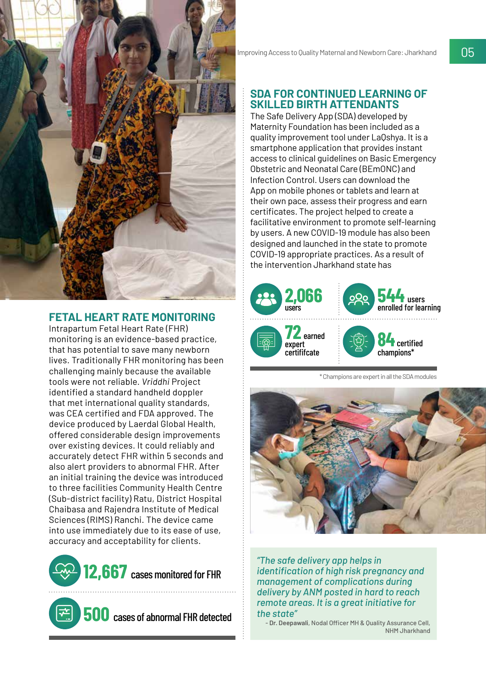

### **Fetal Heart Rate Monitoring**

Intrapartum Fetal Heart Rate (FHR) monitoring is an evidence-based practice, that has potential to save many newborn lives. Traditionally FHR monitoring has been challenging mainly because the available tools were not reliable. *Vriddhi* Project identified a standard handheld doppler that met international quality standards, was CEA certified and FDA approved. The device produced by Laerdal Global Health, offered considerable design improvements over existing devices. It could reliably and accurately detect FHR within 5 seconds and also alert providers to abnormal FHR. After an initial training the device was introduced to three facilities Community Health Centre (Sub-district facility) Ratu, District Hospital Chaibasa and Rajendra Institute of Medical Sciences (RIMS) Ranchi. The device came into use immediately due to its ease of use, accuracy and acceptability for clients.



**500** cases of abnormal FHR detected

### **SDA for Continued Learning of Skilled Birth Attendants**

The Safe Delivery App (SDA) developed by Maternity Foundation has been included as a quality improvement tool under LaQshya. It is a smartphone application that provides instant access to clinical guidelines on Basic Emergency Obstetric and Neonatal Care (BEmONC) and Infection Control. Users can download the App on mobile phones or tablets and learn at their own pace, assess their progress and earn certificates. The project helped to create a facilitative environment to promote self-learning by users. A new COVID-19 module has also been designed and launched in the state to promote COVID-19 appropriate practices. As a result of the intervention Jharkhand state has



\* Champions are expert in all the SDA modules



*"The safe delivery app helps in identification of high risk pregnancy and management of complications during delivery by ANM posted in hard to reach remote areas. It is a great initiative for the state"*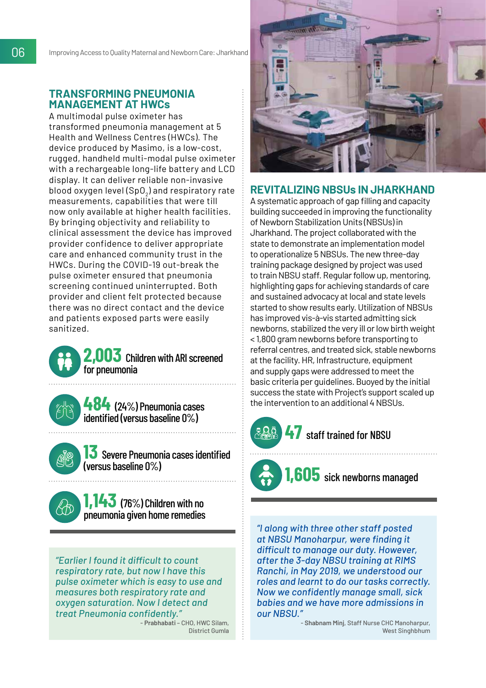### **Transforming Pneumonia Management at HWCs**

A multimodal pulse oximeter has transformed pneumonia management at 5 Health and Wellness Centres (HWCs). The device produced by Masimo, is a low-cost, rugged, handheld multi-modal pulse oximeter with a rechargeable long-life battery and LCD display. It can deliver reliable non-invasive blood oxygen level (SpO $_{\textrm{\scriptsize2}}$ ) and respiratory rate measurements, capabilities that were till now only available at higher health facilities. By bringing objectivity and reliability to clinical assessment the device has improved provider confidence to deliver appropriate care and enhanced community trust in the HWCs. During the COVID-19 out-break the pulse oximeter ensured that pneumonia screening continued uninterrupted. Both provider and client felt protected because there was no direct contact and the device and patients exposed parts were easily sanitized.

### **2,003** Children with ARI screened for pneumonia

**484** (24%) Pneumonia cases identified (versus baseline 0%)

**13** Severe Pneumonia cases identified (versus baseline 0%)

**1,143** (76%) Children with no pneumonia given home remedies

*"Earlier I found it difficult to count respiratory rate, but now I have this pulse oximeter which is easy to use and measures both respiratory rate and oxygen saturation. Now I detect and treat Pneumonia confidently."*

- **Prabhabati** – CHO, HWC Silam, District Gumla



### **Revitalizing NBSUs in Jharkhand**

A systematic approach of gap filling and capacity building succeeded in improving the functionality of Newborn Stabilization Units (NBSUs) in Jharkhand. The project collaborated with the state to demonstrate an implementation model to operationalize 5 NBSUs. The new three-day training package designed by project was used to train NBSU staff. Regular follow up, mentoring, highlighting gaps for achieving standards of care and sustained advocacy at local and state levels started to show results early. Utilization of NBSUs has improved vis-à-vis started admitting sick newborns, stabilized the very ill or low birth weight < 1,800 gram newborns before transporting to referral centres, and treated sick, stable newborns at the facility. HR, Infrastructure, equipment and supply gaps were addressed to meet the basic criteria per guidelines. Buoyed by the initial success the state with Project's support scaled up the intervention to an additional 4 NBSUs.



### **47** staff trained for NBSU

## **1,605** sick newborns managed

*"I along with three other staff posted at NBSU Manoharpur, were finding it difficult to manage our duty. However, after the 3-day NBSU training at RIMS Ranchi, in May 2019, we understood our roles and learnt to do our tasks correctly. Now we confidently manage small, sick babies and we have more admissions in our NBSU."*

> - **Shabnam Minj**, Staff Nurse CHC Manoharpur, West Singhbhum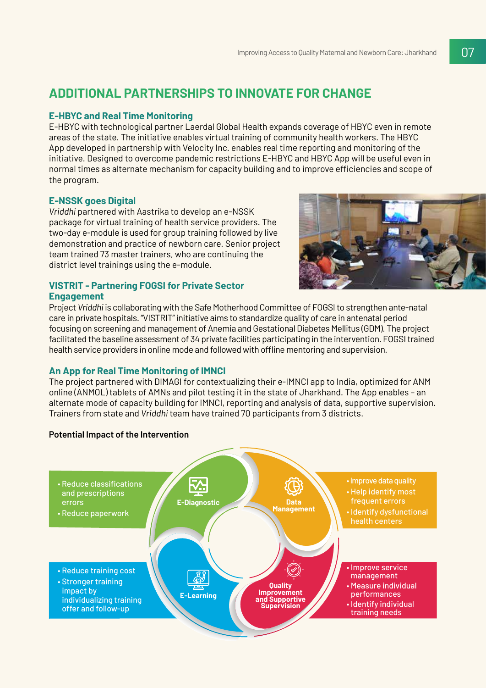### **Additional Partnerships to Innovate for Change**

### **E-HBYC and Real Time Monitoring**

E-HBYC with technological partner Laerdal Global Health expands coverage of HBYC even in remote areas of the state. The initiative enables virtual training of community health workers. The HBYC App developed in partnership with Velocity Inc. enables real time reporting and monitoring of the initiative. Designed to overcome pandemic restrictions E-HBYC and HBYC App will be useful even in normal times as alternate mechanism for capacity building and to improve efficiencies and scope of the program.

### **E-NSSK goes Digital**

*Vriddhi* partnered with Aastrika to develop an e-NSSK package for virtual training of health service providers. The two-day e-module is used for group training followed by live demonstration and practice of newborn care. Senior project team trained 73 master trainers, who are continuing the district level trainings using the e-module.

#### **VISTRIT - Partnering FOGSI for Private Sector Engagement**



Project *Vriddhi* is collaborating with the Safe Motherhood Committee of FOGSI to strengthen ante-natal care in private hospitals. "VISTRIT" initiative aims to standardize quality of care in antenatal period focusing on screening and management of Anemia and Gestational Diabetes Mellitus (GDM). The project facilitated the baseline assessment of 34 private facilities participating in the intervention. FOGSI trained health service providers in online mode and followed with offline mentoring and supervision.

### **An App for Real Time Monitoring of IMNCI**

The project partnered with DIMAGI for contextualizing their e-IMNCI app to India, optimized for ANM online (ANMOL) tablets of AMNs and pilot testing it in the state of Jharkhand. The App enables – an alternate mode of capacity building for IMNCI, reporting and analysis of data, supportive supervision. Trainers from state and *Vriddhi* team have trained 70 participants from 3 districts.

#### **Potential Impact of the Intervention**